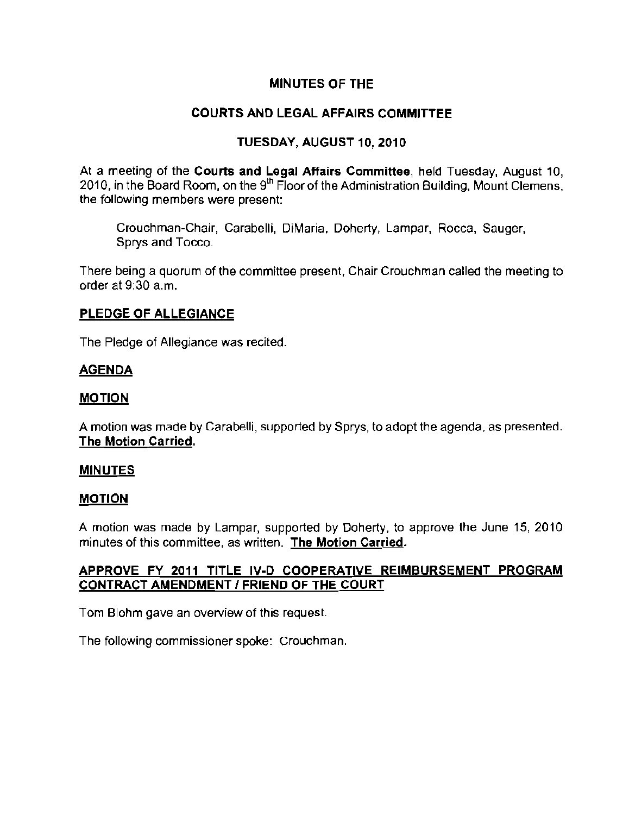## MINUTES OF THE

# COURTS AND LEGAL AFFAIRS COMMITTEE

# TUESDAY, AUGUST 10, 2010

At a meeting of the Courts and Legal Affairs Committee, held Tuesday, August 10, 2010, in the Board Room, on the  $9<sup>th</sup>$  Floor of the Administration Building, Mount Clemens, **the following members were present:** 

Crouchman-Chair, Carabelli, DiMaria, Doherty, Lampar, Rocca, Sauger, Sprys and Tocco.

There being a quorum of the committee present, Chair Crouchman called the meeting to order at 9:30 a.m.

## PLEDGE OF ALLEGIANCE

The Pledge of Allegiance was recited.

# AGENDA

## MOTION

A motion was made by Carabelli, supported by Sprys, to adopt the agenda, as presented. The Motion Carried,

## MINUTES

## MOTION

A motion was made by Lampar, supported by Doherty, to approve the June 15, 2010 **minutes of this committee, as written. The Motion Carried.** 

# APPROVE FY 2011 TITLE IV·D COOPERATIVE REIMBURSEMENT PROGRAM CONTRACT AMENDMENT / FRIEND OF THE COURT

**Tom Blohm gave an overview of this request.** 

**The following commissioner spoke:** Crouchman.